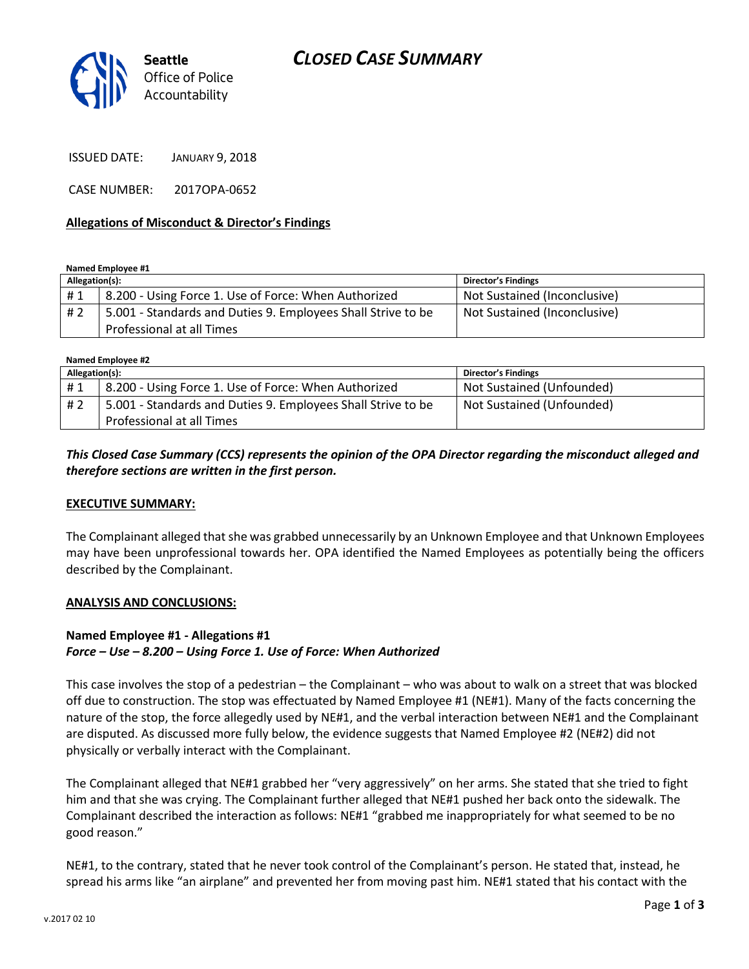# *CLOSED CASE SUMMARY*



ISSUED DATE: JANUARY 9, 2018

CASE NUMBER: 2017OPA-0652

### **Allegations of Misconduct & Director's Findings**

#### **Named Employee #1**

| Allegation(s): |                                                              | <b>Director's Findings</b>   |
|----------------|--------------------------------------------------------------|------------------------------|
| #1             | 8.200 - Using Force 1. Use of Force: When Authorized         | Not Sustained (Inconclusive) |
| # 2            | 5.001 - Standards and Duties 9. Employees Shall Strive to be | Not Sustained (Inconclusive) |
|                | Professional at all Times                                    |                              |

**Named Employee #2**

| Allegation(s): |                                                                                           | <b>Director's Findings</b> |
|----------------|-------------------------------------------------------------------------------------------|----------------------------|
| #1             | 8.200 - Using Force 1. Use of Force: When Authorized                                      | Not Sustained (Unfounded)  |
| # 2            | 5.001 - Standards and Duties 9. Employees Shall Strive to be<br>Professional at all Times | Not Sustained (Unfounded)  |

## *This Closed Case Summary (CCS) represents the opinion of the OPA Director regarding the misconduct alleged and therefore sections are written in the first person.*

#### **EXECUTIVE SUMMARY:**

The Complainant alleged that she was grabbed unnecessarily by an Unknown Employee and that Unknown Employees may have been unprofessional towards her. OPA identified the Named Employees as potentially being the officers described by the Complainant.

#### **ANALYSIS AND CONCLUSIONS:**

## **Named Employee #1 - Allegations #1**

### *Force – Use – 8.200 – Using Force 1. Use of Force: When Authorized*

This case involves the stop of a pedestrian – the Complainant – who was about to walk on a street that was blocked off due to construction. The stop was effectuated by Named Employee #1 (NE#1). Many of the facts concerning the nature of the stop, the force allegedly used by NE#1, and the verbal interaction between NE#1 and the Complainant are disputed. As discussed more fully below, the evidence suggests that Named Employee #2 (NE#2) did not physically or verbally interact with the Complainant.

The Complainant alleged that NE#1 grabbed her "very aggressively" on her arms. She stated that she tried to fight him and that she was crying. The Complainant further alleged that NE#1 pushed her back onto the sidewalk. The Complainant described the interaction as follows: NE#1 "grabbed me inappropriately for what seemed to be no good reason."

NE#1, to the contrary, stated that he never took control of the Complainant's person. He stated that, instead, he spread his arms like "an airplane" and prevented her from moving past him. NE#1 stated that his contact with the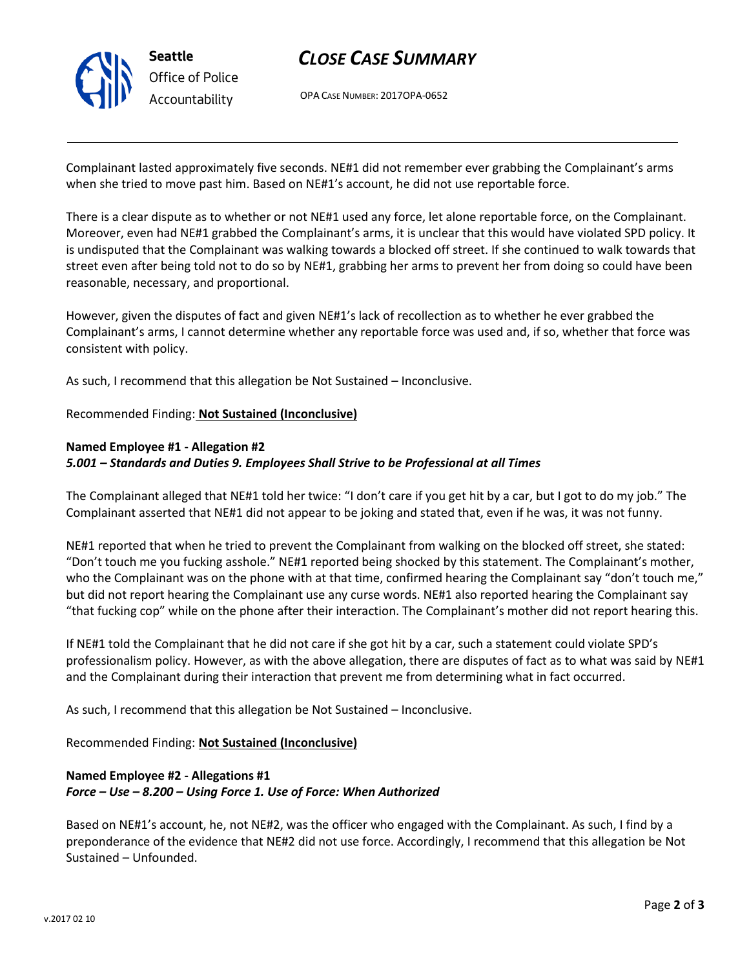

# *CLOSE CASE SUMMARY*

OPA CASE NUMBER: 2017OPA-0652

Complainant lasted approximately five seconds. NE#1 did not remember ever grabbing the Complainant's arms when she tried to move past him. Based on NE#1's account, he did not use reportable force.

There is a clear dispute as to whether or not NE#1 used any force, let alone reportable force, on the Complainant. Moreover, even had NE#1 grabbed the Complainant's arms, it is unclear that this would have violated SPD policy. It is undisputed that the Complainant was walking towards a blocked off street. If she continued to walk towards that street even after being told not to do so by NE#1, grabbing her arms to prevent her from doing so could have been reasonable, necessary, and proportional.

However, given the disputes of fact and given NE#1's lack of recollection as to whether he ever grabbed the Complainant's arms, I cannot determine whether any reportable force was used and, if so, whether that force was consistent with policy.

As such, I recommend that this allegation be Not Sustained – Inconclusive.

### Recommended Finding: **Not Sustained (Inconclusive)**

### **Named Employee #1 - Allegation #2**

### *5.001 – Standards and Duties 9. Employees Shall Strive to be Professional at all Times*

The Complainant alleged that NE#1 told her twice: "I don't care if you get hit by a car, but I got to do my job." The Complainant asserted that NE#1 did not appear to be joking and stated that, even if he was, it was not funny.

NE#1 reported that when he tried to prevent the Complainant from walking on the blocked off street, she stated: "Don't touch me you fucking asshole." NE#1 reported being shocked by this statement. The Complainant's mother, who the Complainant was on the phone with at that time, confirmed hearing the Complainant say "don't touch me," but did not report hearing the Complainant use any curse words. NE#1 also reported hearing the Complainant say "that fucking cop" while on the phone after their interaction. The Complainant's mother did not report hearing this.

If NE#1 told the Complainant that he did not care if she got hit by a car, such a statement could violate SPD's professionalism policy. However, as with the above allegation, there are disputes of fact as to what was said by NE#1 and the Complainant during their interaction that prevent me from determining what in fact occurred.

As such, I recommend that this allegation be Not Sustained – Inconclusive.

### Recommended Finding: **Not Sustained (Inconclusive)**

## **Named Employee #2 - Allegations #1** *Force – Use – 8.200 – Using Force 1. Use of Force: When Authorized*

Based on NE#1's account, he, not NE#2, was the officer who engaged with the Complainant. As such, I find by a preponderance of the evidence that NE#2 did not use force. Accordingly, I recommend that this allegation be Not Sustained – Unfounded.